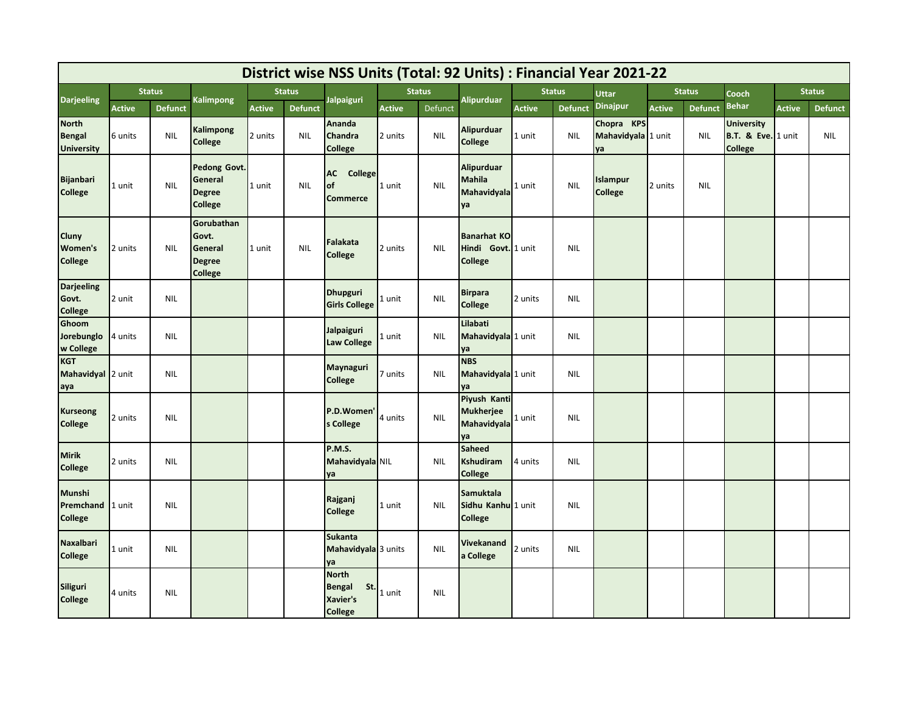| District wise NSS Units (Total: 92 Units) : Financial Year 2021-22 |               |                |                                                            |               |                |                                                             |               |            |                                                            |               |                |                                        |               |                |                                                                      |               |                |
|--------------------------------------------------------------------|---------------|----------------|------------------------------------------------------------|---------------|----------------|-------------------------------------------------------------|---------------|------------|------------------------------------------------------------|---------------|----------------|----------------------------------------|---------------|----------------|----------------------------------------------------------------------|---------------|----------------|
| <b>Darjeeling</b>                                                  | <b>Status</b> |                | Kalimpong                                                  | <b>Status</b> |                | <b>Jalpaiguri</b>                                           | <b>Status</b> |            | <b>Alipurduar</b>                                          | <b>Status</b> |                | Uttar                                  | <b>Status</b> |                | Cooch                                                                | <b>Status</b> |                |
|                                                                    | <b>Active</b> | <b>Defunct</b> |                                                            | <b>Active</b> | <b>Defunct</b> |                                                             | <b>Active</b> | Defunct    |                                                            | <b>Active</b> | <b>Defunct</b> | <b>Dinajpur</b>                        | <b>Active</b> | <b>Defunct</b> | <b>Behar</b>                                                         | <b>Active</b> | <b>Defunct</b> |
| <b>North</b><br><b>Bengal</b><br><b>University</b>                 | 6 units       | <b>NIL</b>     | Kalimpong<br>College                                       | 2 units       | <b>NIL</b>     | Ananda<br>Chandra<br><b>College</b>                         | 2 units       | <b>NIL</b> | <b>Alipurduar</b><br><b>College</b>                        | 1 unit        | <b>NIL</b>     | Chopra KPS<br>Mahavidyala 1 unit<br>уa |               | <b>NIL</b>     | <b>University</b><br><b>B.T. &amp; Eve.</b> 1 unit<br><b>College</b> |               | <b>NIL</b>     |
| <b>Bijanbari</b><br><b>College</b>                                 | 1 unit        | <b>NIL</b>     | Pedong Govt.<br>General<br><b>Degree</b><br>College        | 1 unit        | <b>NIL</b>     | <b>AC</b> College<br>lof<br><b>Commerce</b>                 | 1 unit        | <b>NIL</b> | <b>Alipurduar</b><br><b>Mahila</b><br>Mahavidyala<br>ya    | 1 unit        | <b>NIL</b>     | Islampur<br><b>College</b>             | 2 units       | <b>NIL</b>     |                                                                      |               |                |
| Cluny<br>Women's<br><b>College</b>                                 | 2 units       | <b>NIL</b>     | Gorubathan<br>Govt.<br>General<br><b>Degree</b><br>College | 1 unit        | <b>NIL</b>     | Falakata<br><b>College</b>                                  | 2 units       | <b>NIL</b> | <b>Banarhat KO</b><br>Hindi Govt. 1 unit<br><b>College</b> |               | <b>NIL</b>     |                                        |               |                |                                                                      |               |                |
| <b>Darjeeling</b><br>Govt.<br><b>College</b>                       | 2 unit        | <b>NIL</b>     |                                                            |               |                | Dhupguri<br><b>Girls College</b>                            | . unit        | <b>NIL</b> | <b>Birpara</b><br><b>College</b>                           | 2 units       | <b>NIL</b>     |                                        |               |                |                                                                      |               |                |
| Ghoom<br>Jorebunglo<br>w College                                   | 4 units       | <b>NIL</b>     |                                                            |               |                | Jalpaiguri<br>Law College                                   | . unit        | <b>NIL</b> | Lilabati<br>Mahavidyala 1 unit<br>уa                       |               | <b>NIL</b>     |                                        |               |                |                                                                      |               |                |
| <b>KGT</b><br>Mahavidyal 2 unit<br>aya                             |               | <b>NIL</b>     |                                                            |               |                | Maynaguri<br><b>College</b>                                 | 7 units       | <b>NIL</b> | <b>NBS</b><br>Mahavidyala 1 unit<br>ya                     |               | <b>NIL</b>     |                                        |               |                |                                                                      |               |                |
| <b>Kurseong</b><br><b>College</b>                                  | 2 units       | <b>NIL</b>     |                                                            |               |                | P.D.Women'<br>s College                                     | 4 units       | <b>NIL</b> | Piyush Kanti<br><b>Mukherjee</b><br>Mahavidyala<br>ya      | 1 unit        | <b>NIL</b>     |                                        |               |                |                                                                      |               |                |
| <b>Mirik</b><br><b>College</b>                                     | 2 units       | <b>NIL</b>     |                                                            |               |                | P.M.S.<br>Mahavidyala NIL<br>ya                             |               | <b>NIL</b> | Saheed<br><b>Kshudiram</b><br><b>College</b>               | 4 units       | <b>NIL</b>     |                                        |               |                |                                                                      |               |                |
| <b>Munshi</b><br>Premchand 1 unit<br><b>College</b>                |               | <b>NIL</b>     |                                                            |               |                | Rajganj<br><b>College</b>                                   | 1 unit        | <b>NIL</b> | <b>Samuktala</b><br>Sidhu Kanhu 1 unit<br><b>College</b>   |               | <b>NIL</b>     |                                        |               |                |                                                                      |               |                |
| <b>Naxalbari</b><br><b>College</b>                                 | 1 unit        | <b>NIL</b>     |                                                            |               |                | <b>Sukanta</b><br>Mahavidyala 3 units<br>ya                 |               | <b>NIL</b> | Vivekanand<br>a College                                    | 2 units       | <b>NIL</b>     |                                        |               |                |                                                                      |               |                |
| Siliguri<br>College                                                | 4 units       | <b>NIL</b>     |                                                            |               |                | <b>North</b><br>St.<br>Bengal<br>Xavier's<br><b>College</b> | 1 unit        | <b>NIL</b> |                                                            |               |                |                                        |               |                |                                                                      |               |                |